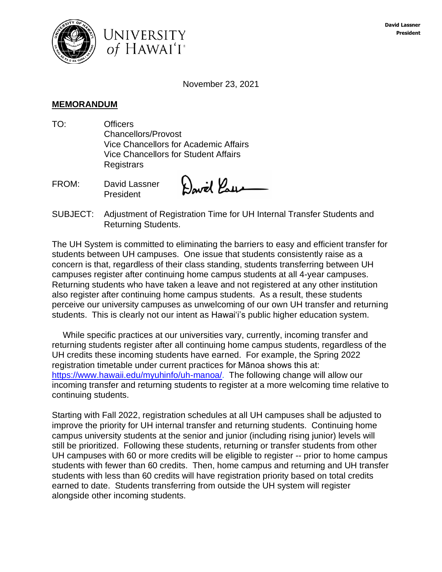



November 23, 2021

## **MEMORANDUM**

- TO: Officers Chancellors/Provost Vice Chancellors for Academic Affairs Vice Chancellors for Student Affairs **Registrars**
- FROM: David Lassner President

David Paus

SUBJECT: Adjustment of Registration Time for UH Internal Transfer Students and Returning Students.

The UH System is committed to eliminating the barriers to easy and efficient transfer for students between UH campuses. One issue that students consistently raise as a concern is that, regardless of their class standing, students transferring between UH campuses register after continuing home campus students at all 4-year campuses. Returning students who have taken a leave and not registered at any other institution also register after continuing home campus students. As a result, these students perceive our university campuses as unwelcoming of our own UH transfer and returning students. This is clearly not our intent as Hawaiʻi's public higher education system.

 While specific practices at our universities vary, currently, incoming transfer and returning students register after all continuing home campus students, regardless of the UH credits these incoming students have earned. For example, the Spring 2022 registration timetable under current practices for Mānoa shows this at: [https://www.hawaii.edu/myuhinfo/uh-manoa/.](https://www.hawaii.edu/myuhinfo/uh-manoa/) The following change will allow our incoming transfer and returning students to register at a more welcoming time relative to continuing students.

Starting with Fall 2022, registration schedules at all UH campuses shall be adjusted to improve the priority for UH internal transfer and returning students. Continuing home campus university students at the senior and junior (including rising junior) levels will still be prioritized. Following these students, returning or transfer students from other UH campuses with 60 or more credits will be eligible to register -- prior to home campus students with fewer than 60 credits. Then, home campus and returning and UH transfer students with less than 60 credits will have registration priority based on total credits earned to date. Students transferring from outside the UH system will register alongside other incoming students.